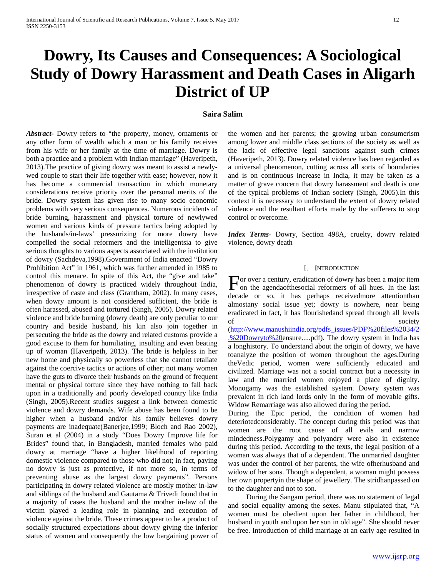# **Dowry, Its Causes and Consequences: A Sociological Study of Dowry Harassment and Death Cases in Aligarh District of UP**

# **Saira Salim**

*Abstract***-** Dowry refers to "the property, money, ornaments or any other form of wealth which a man or his family receives from his wife or her family at the time of marriage. Dowry is both a practice and a problem with Indian marriage" (Haveripeth, 2013).The practice of giving dowry was meant to assist a newlywed couple to start their life together with ease; however, now it has become a commercial transaction in which monetary considerations receive priority over the personal merits of the bride. Dowry system has given rise to many socio economic problems with very serious consequences. Numerous incidents of bride burning, harassment and physical torture of newlywed women and various kinds of pressure tactics being adopted by the husbands/in-laws' pressurizing for more dowry have compelled the social reformers and the intelligentsia to give serious thoughts to various aspects associated with the institution of dowry (Sachdeva,1998).Government of India enacted "Dowry Prohibition Act" in 1961, which was further amended in 1985 to control this menace. In spite of this Act, the "give and take" phenomenon of dowry is practiced widely throughout India, irrespective of caste and class (Grantham, 2002). In many cases, when dowry amount is not considered sufficient, the bride is often harassed, abused and tortured (Singh, 2005). Dowry related violence and bride burning (dowry death) are only peculiar to our country and beside husband, his kin also join together in persecuting the bride as the dowry and related customs provide a good excuse to them for humiliating, insulting and even beating up of woman (Haveripeth, 2013). The bride is helpless in her new home and physically so powerless that she cannot retaliate against the coercive tactics or actions of other; not many women have the guts to divorce their husbands on the ground of frequent mental or physical torture since they have nothing to fall back upon in a traditionally and poorly developed country like India (Singh, 2005).Recent studies suggest a link between domestic violence and dowry demands. Wife abuse has been found to be higher when a husband and/or his family believes dowry payments are inadequate(Banerjee,1999; Bloch and Rao 2002), Suran et al (2004) in a study "Does Dowry Improve life for Brides" found that, in Bangladesh, married females who paid dowry at marriage "have a higher likelihood of reporting domestic violence compared to those who did not; in fact, paying no dowry is just as protective, if not more so, in terms of preventing abuse as the largest dowry payments". Persons participating in dowry related violence are mostly mother in-law and siblings of the husband and Gautama & Trivedi found that in a majority of cases the husband and the mother in-law of the victim played a leading role in planning and execution of violence against the bride. These crimes appear to be a product of socially structured expectations about dowry giving the inferior status of women and consequently the low bargaining power of the women and her parents; the growing urban consumerism among lower and middle class sections of the society as well as the lack of effective legal sanctions against such crimes (Haveripeth, 2013). Dowry related violence has been regarded as a universal phenomenon, cutting across all sorts of boundaries and is on continuous increase in India, it may be taken as a matter of grave concern that dowry harassment and death is one of the typical problems of Indian society (Singh, 2005).In this context it is necessary to understand the extent of dowry related violence and the resultant efforts made by the sufferers to stop control or overcome.

*Index Terms*- Dowry, Section 498A, cruelty, dowry related violence, dowry death

### I. INTRODUCTION

or over a century, eradication of dowry has been a major item For over a century, eradication of dowry has been a major item<br>on the agendaofthesocial reformers of all hues. In the last decade or so, it has perhaps receivedmore attentionthan almostany social issue yet; dowry is nowhere, near being eradicated in fact, it has flourishedand spread through all levels of society

[\(http://www.manushiindia.org/pdfs\\_issues/PDF%20files%2034/2](http://www.manushiindia.org/pdfs_issues/PDF%20files%2034/2.%20Dowryto) [.%20Dowryto%20e](http://www.manushiindia.org/pdfs_issues/PDF%20files%2034/2.%20Dowryto)nsure.....pdf). The dowry system in India has a longhistory. To understand about the origin of dowry, we have toanalyze the position of women throughout the ages.During theVedic period, women were sufficiently educated and civilized. Marriage was not a social contract but a necessity in law and the married women enjoyed a place of dignity. Monogamy was the established system. Dowry system was prevalent in rich land lords only in the form of movable gifts. Widow Remarriage was also allowed during the period.

During the Epic period, the condition of women had deteriotedconsiderably. The concept during this period was that women are the root cause of all evils and narrow mindedness.Polygamy and polyandry were also in existence during this period. According to the texts, the legal position of a woman was always that of a dependent. The unmarried daughter was under the control of her parents, the wife ofherhusband and widow of her sons. Though a dependent, a woman might possess her own propertyin the shape of jewellery. The stridhanpassed on to the daughter and not to son.

 During the Sangam period, there was no statement of legal and social equality among the sexes. Manu stipulated that, "A women must be obedient upon her father in childhood, her husband in youth and upon her son in old age". She should never be free. Introduction of child marriage at an early age resulted in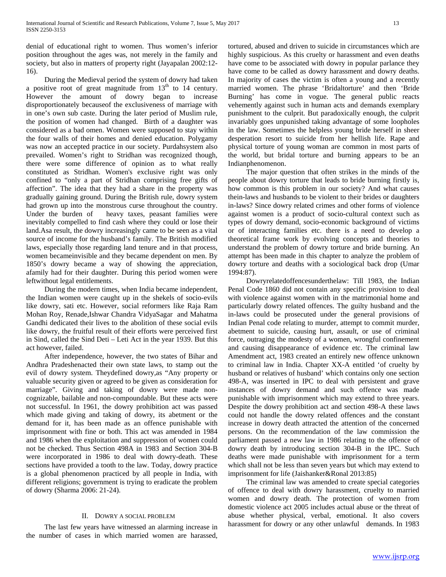denial of educational right to women. Thus women's inferior position throughout the ages was, not merely in the family and society, but also in matters of property right (Jayapalan 2002:12- 16).

 During the Medieval period the system of dowry had taken a positive root of great magnitude from  $13<sup>th</sup>$  to 14 century. However the amount of dowry began to increase disproportionately becauseof the exclusiveness of marriage with in one's own sub caste. During the later period of Muslim rule, the position of women had changed. Birth of a daughter was considered as a bad omen. Women were supposed to stay within the four walls of their homes and denied education. Polygamy was now an accepted practice in our society. Purdahsystem also prevailed. Women's right to Stridhan was recognized though, there were some difference of opinion as to what really constituted as Stridhan. Women's exclusive right was only confined to "only a part of Stridhan comprising free gifts of affection". The idea that they had a share in the property was gradually gaining ground. During the British rule, dowry system had grown up into the monstrous curse throughout the country. Under the burden of heavy taxes, peasant families were inevitably compelled to find cash where they could or lose their land.Asa result, the dowry increasingly came to be seen as a vital source of income for the husband's family. The British modified laws, especially those regarding land tenure and in that process, women becameinvisible and they became dependent on men. By 1850's dowry became a way of showing the appreciation, afamily had for their daughter. During this period women were leftwithout legal entitlements.

 During the modern times, when India became independent, the Indian women were caught up in the shekels of socio-evils like dowry, sati etc. However, social reformers like Raja Ram Mohan Roy, Renade,Ishwar Chandra VidyaSagar and Mahatma Gandhi dedicated their lives to the abolition of these social evils like dowry, the fruitful result of their efforts were perceived first in Sind, called the Sind Deti – Leti Act in the year 1939. But this act however, failed.

 After independence, however, the two states of Bihar and Andhra Pradeshenacted their own state laws, to stamp out the evil of dowry system. Theydefined dowry,as "Any property or valuable security given or agreed to be given as consideration for marriage". Giving and taking of dowry were made noncognizable, bailable and non-compoundable. But these acts were not successful. In 1961, the dowry prohibition act was passed which made giving and taking of dowry, its abetment or the demand for it, has been made as an offence punishable with imprisonment with fine or both. This act was amended in 1984 and 1986 when the exploitation and suppression of women could not be checked. Thus Section 498A in 1983 and Section 304-B were incorporated in 1986 to deal with dowry-death. These sections have provided a tooth to the law. Today, dowry practice is a global phenomenon practiced by all people in India, with different religions; government is trying to eradicate the problem of dowry (Sharma 2006: 21-24).

# II. DOWRY A SOCIAL PROBLEM

 The last few years have witnessed an alarming increase in the number of cases in which married women are harassed, tortured, abused and driven to suicide in circumstances which are highly suspicious. As this cruelty or harassment and even deaths have come to be associated with dowry in popular parlance they have come to be called as dowry harassment and dowry deaths. In majority of cases the victim is often a young and a recently married women. The phrase 'Bridaltorture' and then 'Bride Burning' has come in vogue. The general public reacts vehemently against such in human acts and demands exemplary punishment to the culprit. But paradoxically enough, the culprit invariably goes unpunished taking advantage of some loopholes in the law. Sometimes the helpless young bride herself in sheer desperation resort to suicide from her hellish life. Rape and physical torture of young woman are common in most parts of the world, but bridal torture and burning appears to be an Indianphenomenon.

 The major question that often strikes in the minds of the people about dowry torture that leads to bride burning firstly is, how common is this problem in our society? And what causes thein-laws and husbands to be violent to their brides or daughters in-laws? Since dowry related crimes and other forms of violence against women is a product of socio-cultural context such as types of dowry demand, socio-economic background of victims or of interacting families etc. there is a need to develop a theoretical frame work by evolving concepts and theories to understand the problem of dowry torture and bride burning. An attempt has been made in this chapter to analyze the problem of dowry torture and deaths with a sociological back drop (Umar 1994:87).

 Dowryrelatedoffencesunderthelaw: Till 1983, the Indian Penal Code 1860 did not contain any specific provision to deal with violence against women with in the matrimonial home and particularly dowry related offences. The guilty husband and the in-laws could be prosecuted under the general provisions of Indian Penal code relating to murder, attempt to commit murder, abetment to suicide, causing hurt, assault, or use of criminal force, outraging the modesty of a women, wrongful confinement and causing disappearance of evidence etc. The criminal law Amendment act, 1983 created an entirely new offence unknown to criminal law in India. Chapter XX-A entitled 'of cruelty by husband or relatives of husband' which contains only one section 498-A, was inserted in IPC to deal with persistent and grave instances of dowry demand and such offence was made punishable with imprisonment which may extend to three years. Despite the dowry prohibition act and section 498-A these laws could not handle the dowry related offences and the constant increase in dowry death attracted the attention of the concerned persons. On the recommendation of the law commission the parliament passed a new law in 1986 relating to the offence of dowry death by introducing section 304-B in the IPC. Such deaths were made punishable with imprisonment for a term which shall not be less than seven years but which may extend to imprisonment for life (Jaishanker&Ronal 2013:85)

 The criminal law was amended to create special categories of offence to deal with dowry harassment, cruelty to married women and dowry death. The protection of women from domestic violence act 2005 includes actual abuse or the threat of abuse whether physical, verbal, emotional. It also covers harassment for dowry or any other unlawful demands. In 1983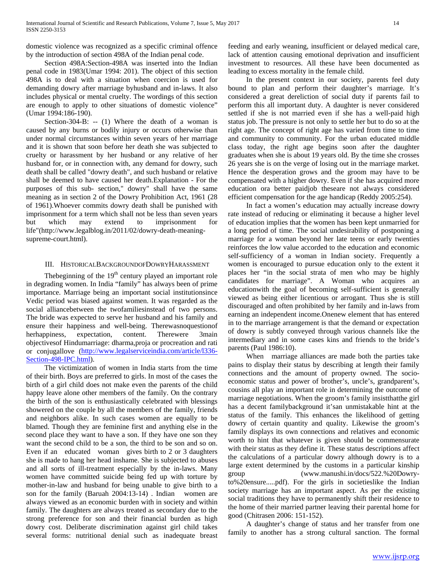domestic violence was recognized as a specific criminal offence by the introduction of section 498A of the Indian penal code.

 Section 498A:Section-498A was inserted into the Indian penal code in 1983(Umar 1994: 201). The object of this section 498A is to deal with a situation when coercion is used for demanding dowry after marriage byhusband and in-laws. It also includes physical or mental cruelty. The wordings of this section are enough to apply to other situations of domestic violence" (Umar 1994:186-190).

Section-304-B: -- (1) Where the death of a woman is caused by any burns or bodily injury or occurs otherwise than under normal circumstances within seven years of her marriage and it is shown that soon before her death she was subjected to cruelty or harassment by her husband or any relative of her husband for, or in connection with, any demand for dowry, such death shall be called "dowry death", and such husband or relative shall be deemed to have caused her death.Explanation - For the purposes of this sub- section," dowry" shall have the same meaning as in section 2 of the Dowry Prohibition Act, 1961 (28 of 1961).Whoever commits dowry death shall be punished with imprisonment for a term which shall not be less than seven years but which may extend to imprisonment for life"(http://www.legalblog.in/2011/02/dowry-death-meaningsupreme-court.html).

# III. HISTORICALBACKGROUNDOFDOWRYHARASSMENT

The beginning of the  $19<sup>th</sup>$  century played an important role in degrading women. In India "family" has always been of prime importance. Marriage being an important social institutionsince Vedic period was biased against women. It was regarded as the social alliancebetween the twofamiliesinstead of two persons. The bride was expected to serve her husband and his family and ensure their happiness and well-being. Therewasnoquestionof herhappiness, expectation, content. Therewere 3main objectivesof Hindumarriage: dharma,proja or procreation and rati or conjugallove [\(http://www.legalserviceindia.com/article/l336-](http://www.legalserviceindia.com/article/l336-Section-498-IPC.html) [Section-498-IPC.html\)](http://www.legalserviceindia.com/article/l336-Section-498-IPC.html).

 The victimization of women in India starts from the time of their birth. Boys are preferred to girls. In most of the cases the birth of a girl child does not make even the parents of the child happy leave alone other members of the family. On the contrary the birth of the son is enthusiastically celebrated with blessings showered on the couple by all the members of the family, friends and neighbors alike. In such cases women are equally to be blamed. Though they are feminine first and anything else in the second place they want to have a son. If they have one son they want the second child to be a son, the third to be son and so on. Even if an educated woman gives birth to 2 or 3 daughters she is made to hang her head inshame. She is subjected to abuses and all sorts of ill-treatment especially by the in-laws. Many women have committed suicide being fed up with torture by mother-in-law and husband for being unable to give birth to a son for the family (Baruah 2004:13-14) . Indian women are always viewed as an economic burden with in society and within family. The daughters are always treated as secondary due to the strong preference for son and their financial burden as high dowry cost. Deliberate discrimination against girl child takes several forms: nutritional denial such as inadequate breast feeding and early weaning, insufficient or delayed medical care, lack of attention causing emotional deprivation and insufficient investment to resources. All these have been documented as leading to excess mortality in the female child.

 In the present context in our society, parents feel duty bound to plan and perform their daughter's marriage. It's considered a great dereliction of social duty if parents fail to perform this all important duty. A daughter is never considered settled if she is not married even if she has a well-paid high status job. The pressure is not only to settle her but to do so at the right age. The concept of right age has varied from time to time and community to community. For the urban educated middle class today, the right age begins soon after the daughter graduates when she is about 19 years old. By the time she crosses 26 years she is on the verge of losing out in the marriage market. Hence the desperation grows and the groom may have to be compensated with a higher dowry. Even if she has acquired more education ora better paidjob theseare not always considered efficient compensation for the age handicap (Reddy 2005:254).

 In fact a women's education may actually increase dowry rate instead of reducing or eliminating it because a higher level of education implies that the women has been kept unmarried for a long period of time. The social undesirability of postponing a marriage for a woman beyond her late teens or early twenties reinforces the low value accorded to the education and economic self-sufficiency of a woman in Indian society. Frequently a women is encouraged to pursue education only to the extent it places her "in the social strata of men who may be highly candidates for marriage". A Woman who acquires an educationwith the goal of becoming self-sufficient is generally viewed as being either licentious or arrogant. Thus she is still discouraged and often prohibited by her family and in-laws from earning an independent income.Onenew element that has entered in to the marriage arrangement is that the demand or expectation of dowry is subtly conveyed through various channels like the intermediary and in some cases kins and friends to the bride's parents (Paul 1986:10).

 When marriage alliances are made both the parties take pains to display their status by describing at length their family connections and the amount of property owned. The socioeconomic status and power of brother's, uncle's, grandparent's, cousins all play an important role in determining the outcome of marriage negotiations. When the groom's family insistthatthe girl has a decent familybackground it'san unmistakable hint at the status of the family. This enhances the likelihood of getting dowry of certain quantity and quality. Likewise the groom's family displays its own connections and relatives and economic worth to hint that whatever is given should be commensurate with their status as they define it. These status descriptions affect the calculations of a particular dowry although dowry is to a large extent determined by the customs in a particular kinship group (www.manushi.in/docs/522.%20Dowryto%20ensure.....pdf). For the girls in societieslike the Indian society marriage has an important aspect. As per the existing social traditions they have to permanently shift their residence to the home of their married partner leaving their parental home for good (Chitrasen 2006: 151-152).

 A daughter's change of status and her transfer from one family to another has a strong cultural sanction. The formal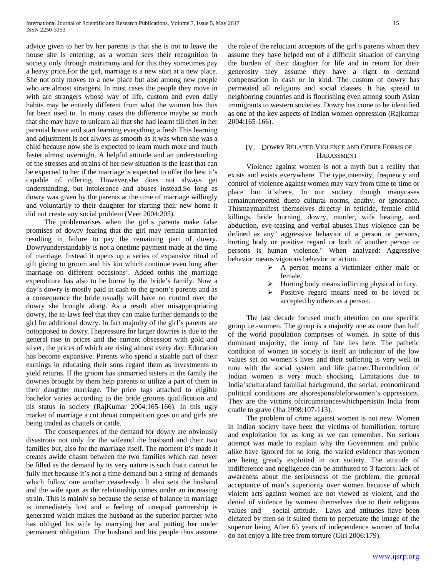advice given to her by her parents is that she is not to leave the house she is entering, as a woman sees their recognition in society only through matrimony and for this they sometimes pay a heavy price.For the girl, marriage is a new start at a new place. She not only moves to a new place but also among new people who are almost strangers. In most cases the people they move in with are strangers whose way of life, custom and even daily habits may be entirely different from what the women has thus far been used to. In many cases the difference maybe so much that she may have to unlearn all that she had learnt till then in her parental house and start learning everything a fresh This learning and adjustment is not always as smooth as it was when she was a child because now she is expected to learn much more and much faster almost overnight. A helpful attitude and an understanding of the stresses and strains of her new situation is the least that can be expected to her if the marriage is expected to offer the best it's capable of offering. However,she does not always get understanding, but intolerance and abuses instead.So long as dowry was given by the parents at the time of marriage willingly and voluntarily to their daughter for starting their new home it did not create any social problem (Veer 2004:205).

 The problemarises when the girl's parents make false promises of dowry fearing that the girl may remain unmarried resulting in failure to pay the remaining part of dowry. Dowryunderstandably is not a onetime payment made at the time of marriage. Instead it opens up a series of expansive ritual of gift giving to groom and his kin which continue even long after marriage on different occasions'. Added tothis the marriage expenditure has also to be borne by the bride's family. Now a day's dowry is mostly paid in cash to the groom's parents and as a consequence the bride usually will have no control over the dowry she brought along. As a result after misappropriating dowry, the in-laws feel that they can make further demands to the girl for additional dowry. In fact majority of the girl's parents are notopposed to dowry.Thepressure for larger dowries is due to the general rise in prices and the current obsession with gold and silver, the prices of which are rising almost every day. Education has become expansive. Parents who spend a sizable part of their earnings in educating their sons regard them as investments to yield returns. If the groom has unmarried sisters in the family the dowries brought by them help parents to utilize a part of them in their daughter marriage. The price tags attached to eligible bachelor varies according to the bride grooms qualification and his status in society (RajKumar 2004:165-166). In this ugly market of marriage a cut throat competition goes on and girls are being traded as chattels or cattle.

 The consequences of the demand for dowry are obviously disastrous not only for the wifeand the husband and their two families but, also for the marriage itself. The moment it's made it creates awide chasm between the two families which can never be filled as the demand by its very nature is such thatit cannot be fully met because it's not a time demand but a string of demands which follow one another ceaselessly. It also sets the husband and the wife apart as the relationship comes under an increasing strain. This is mainly so because the sense of balance in marriage is immediately lost and a feeling of unequal partnership is generated which makes the husband as the superior partner who has obliged his wife by marrying her and putting her under permanent obligation. The husband and his people thus assume

the role of the reluctant acceptors of the girl's parents whom they assume they have helped out of a difficult situation of carrying the burden of their daughter for life and in return for their generosity they assume they have a right to demand compensation in cash or in kind. The custom of dowry has permeated all religions and social classes. It has spread to neighboring countries and is flourishing even among south Asian immigrants to western societies. Dowry has come to be identified as one of the key aspects of Indian women oppression (Rajkumar 2004:165-166).

## IV. DOWRY RELATED VIOLENCE AND OTHER FORMS OF HARASSMENT

 Violence against women is not a myth but a reality that exists and exists everywhere. The type,intensity, frequency and control of violence against women may vary from time to time or place but it'sthere. In our society though manycases remainunreported dueto cultural norms, apathy, or ignorance. Thismaymanifest themselves directly in feticide, female child killings, bride burning, dowry, murder, wife beating, and abduction, eve-teasing and verbal abuses.Thus violence can be defined as any" aggressive behavior of a person or persons, hurting body or positive regard or both of another person or persons is human violence." When analyzed: Aggressive behavior means vigorous behavior or action.

- $\triangleright$  A person means a victimizer either male or female.
- $\triangleright$  Hurting body means inflicting physical in fury.
- Positive regard means need to be loved or accepted by others as a person.

 The last decade focused much attention on one specific group i.e.-women. The group is a majority one as more than half of the world population comprises of women. In spite of this dominant majority, the irony of fate lies here. The pathetic condition of women in society is itself an indicator of the low values set on women's lives and their suffering is very well in tune with the social system and life partner.Thecondition of Indian women is very much shocking. Limitations due to India'sculturaland familial background, the social, economicand political conditions are alsoresponsibleforwomen's oppressions. They are the victims ofcircumstanceswhichpersistin India from cradle to grave (Jha 1998:107-113).

 The problem of crime against women is not new. Women in Indian society have been the victims of humiliation, torture and exploitation for as long as we can remember. No serious attempt was made to explain why the Government and public alike have ignored for so long, the varied evidence that women are being greatly exploited in our society. The attitude of indifference and negligence can be attributed to 3 factors: lack of awareness about the seriousness of the problem, the general acceptance of man's superiority over women because of which violent acts against women are not viewed as violent, and the denial of violence by women themselves due to their religious values and social attitude. Laws and attitudes have been dictated by men so it suited them to perpetuate the image of the superior being After 65 years of independence women of India do not enjoy a life free from torture (Giri 2006:179).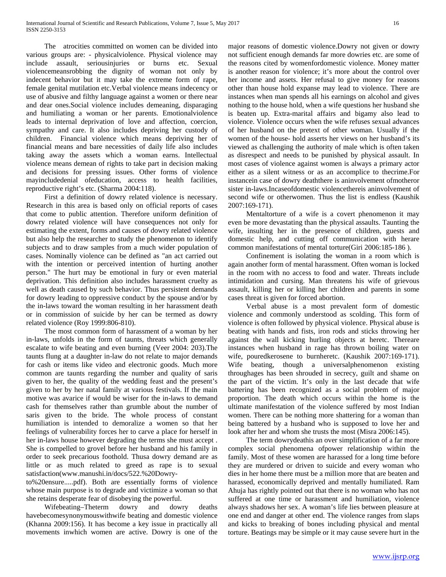The atrocities committed on women can be divided into various groups are: - physicalviolence. Physical violence may include assault, seriousinjuries or burns etc. Sexual violencemeansrobbing the dignity of woman not only by indecent behavior but it may take the extreme form of rape, female genital mutilation etc.Verbal violence means indecency or use of abusive and filthy language against a women or there near and dear ones.Social violence includes demeaning, disparaging and humiliating a woman or her parents. Emotionalviolence leads to internal deprivation of love and affection, coercion, sympathy and care. It also includes depriving her custody of children. Financial violence which means depriving her of financial means and bare necessities of daily life also includes taking away the assets which a woman earns. Intellectual violence means demean of rights to take part in decision making and decisions for pressing issues. Other forms of violence mayincludedenial ofeducation, access to health facilities, reproductive right's etc. (Sharma 2004:118).

 First a definition of dowry related violence is necessary. Research in this area is based only on official reports of cases that come to public attention. Therefore uniform definition of dowry related violence will have consequences not only for estimating the extent, forms and causes of dowry related violence but also help the researcher to study the phenomenon to identify subjects and to draw samples from a much wider population of cases. Nominally violence can be defined as "an act carried out with the intention or perceived intention of hurting another person." The hurt may be emotional in fury or even material deprivation. This definition also includes harassment cruelty as well as death caused by such behavior. Thus persistent demands for dowry leading to oppressive conduct by the spouse and/or by the in-laws toward the woman resulting in her harassment death or in commission of suicide by her can be termed as dowry related violence (Roy 1999:806-810).

 The most common form of harassment of a woman by her in-laws, unfolds in the form of taunts, threats which generally escalate to wife beating and even burning (Veer 2004: 203).The taunts flung at a daughter in-law do not relate to major demands for cash or items like video and electronic goods. Much more common are taunts regarding the number and quality of saris given to her, the quality of the wedding feast and the present's given to her by her natal family at various festivals. If the main motive was avarice if would be wiser for the in-laws to demand cash for themselves rather than grumble about the number of saris given to the bride. The whole process of constant humiliation is intended to demoralize a women so that her feelings of vulnerability forces her to carve a place for herself in her in-laws house however degrading the terms she must accept . She is compelled to grovel before her husband and his family in order to seek precarious foothold. Thusa dowry demand are as little or as much related to greed as rape is to sexual satisfaction(www.manushi.in/docs/522.%20Dowry-

to%20ensure.....pdf). Both are essentially forms of violence whose main purpose is to degrade and victimize a woman so that she retains desperate fear of disobeying the powerful.

 Wifebeating–Theterm dowry and dowry deaths havebecomesynonymouswithwife beating and domestic violence (Khanna 2009:156). It has become a key issue in practically all movements inwhich women are active. Dowry is one of the

major reasons of domestic violence.Dowry not given or dowry not sufficient enough demands far more dowries etc. are some of the reasons cited by womenfordomestic violence. Money matter is another reason for violence; it's more about the control over her income and assets. Her refusal to give money for reasons other than house hold expanse may lead to violence. There are instances when man spends all his earnings on alcohol and gives nothing to the house hold, when a wife questions her husband she is beaten up. Extra-marital affairs and bigamy also lead to violence. Violence occurs when the wife refuses sexual advances of her husband on the pretext of other woman. Usually if the women of the house- hold asserts her views on her husband's its viewed as challenging the authority of male which is often taken as disrespect and needs to be punished by physical assault. In most cases of violence against women is always a primary actor either as a silent witness or as an accomplice to thecrime.For instancein case of dowry deaththere is aninvolvement ofmotheror sister in-laws.Incaseofdomestic violencethereis aninvolvement of second wife or otherwomen. Thus the list is endless (Kaushik 2007:169-171).

 Mentaltorture of a wife is a covert phenomenon it may even be more devastating than the physical assaults. Taunting the wife, insulting her in the presence of children, guests and domestic help, and cutting off communication with herare common manifestations of mental torture(Giri 2006:185-186 ).

 Confinement is isolating the woman in a room which is again another form of mental harassment. Often woman is locked in the room with no access to food and water. Threats include intimidation and cursing. Man threatens his wife of grievous assault, killing her or killing her children and parents in some cases threat is given for forced abortion.

 Verbal abuse is a most prevalent form of domestic violence and commonly understood as scolding. This form of violence is often followed by physical violence. Physical abuse is beating with hands and fists, iron rods and sticks throwing her against the wall kicking hurling objects at heretc. Thereare instances when husband in rage has thrown boiling water on wife, pouredkerosene to burnheretc. (Kaushik 2007:169-171). Wife beating, though a universalphenomenon existing throughages has been shrouded in secrecy, guilt and shame on the part of the victim. It's only in the last decade that wife battering has been recognized as a social problem of major proportion. The death which occurs within the home is the ultimate manifestation of the violence suffered by most Indian women. There can be nothing more shattering for a woman than being battered by a husband who is supposed to love her and look after her and whom she trusts the most (Misra 2006:145).

 The term dowrydeathis an over simplification of a far more complex social phenomena ofpower relationship within the family. Most of these women are harassed for a long time before they are murdered or driven to suicide and every woman who dies in her home there must be a million more that are beaten and harassed, economically deprived and mentally humiliated. Ram Ahuja has rightly pointed out that there is no woman who has not suffered at one time or harassment and humiliation, violence always shadows her sex. A woman's life lies between pleasure at one end and danger at other end. The violence ranges from slaps and kicks to breaking of bones including physical and mental torture. Beatings may be simple or it may cause severe hurt in the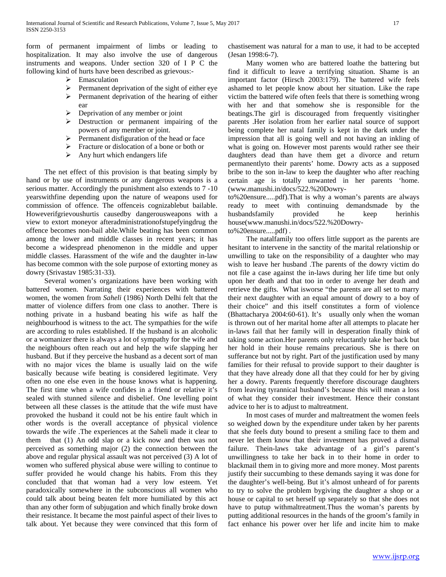form of permanent impairment of limbs or leading to hospitalization. It may also involve the use of dangerous instruments and weapons. Under section 320 of I P C the following kind of hurts have been described as grievous:-

- $\triangleright$  Emasculation
- Permanent deprivation of the sight of either eye
- $\triangleright$  Permanent deprivation of the hearing of either ear
- $\triangleright$  Deprivation of any member or joint
- $\triangleright$  Destruction or permanent impairing of the powers of any member or joint.
- $\triangleright$  Permanent disfiguration of the head or face
- $\triangleright$  Fracture or dislocation of a bone or both or
- $\triangleright$  Any hurt which endangers life

 The net effect of this provision is that beating simply by hand or by use of instruments or any dangerous weapons is a serious matter. Accordingly the punishment also extends to 7 -10 yearswithfine depending upon the nature of weapons used for commission of offence. The offenceis cognizablebut bailable. Howeverifgrievoushurtis causedby dangerousweapons with a view to extort moneyor afteradministrationofstupefyingdrug the offence becomes non-bail able.While beating has been common among the lower and middle classes in recent years; it has become a widespread phenomenon in the middle and upper middle classes. Harassment of the wife and the daughter in-law has become common with the sole purpose of extorting money as dowry (Srivastav 1985:31-33).

 Several women's organizations have been working with battered women. Narrating their experiences with battered women, the women from *Saheli* (1986) North Delhi felt that the matter of violence differs from one class to another. There is nothing private in a husband beating his wife as half the neighbourhood is witness to the act. The sympathies for the wife are according to rules established. If the husband is an alcoholic or a womanizer there is always a lot of sympathy for the wife and the neighbours often reach out and help the wife slapping her husband. But if they perceive the husband as a decent sort of man with no major vices the blame is usually laid on the wife basically because wife beating is considered legitimate. Very often no one else even in the house knows what is happening. The first time when a wife confides in a friend or relative it's sealed with stunned silence and disbelief. One levelling point between all these classes is the attitude that the wife must have provoked the husband it could not be his entire fault which in other words is the overall acceptance of physical violence towards the wife .The experiences at the Saheli made it clear to them that (1) An odd slap or a kick now and then was not perceived as something major (2) the connection between the above and regular physical assault was not perceived (3) A lot of women who suffered physical abuse were willing to continue to suffer provided he would change his habits. From this they concluded that that woman had a very low esteem. Yet paradoxically somewhere in the subconscious all women who could talk about being beaten felt more humiliated by this act than any other form of subjugation and which finally broke down their resistance. It became the most painful aspect of their lives to talk about. Yet because they were convinced that this form of chastisement was natural for a man to use, it had to be accepted (Jesan 1998:6-7).

 Many women who are battered loathe the battering but find it difficult to leave a terrifying situation. Shame is an important factor (Hirsch 2003:179). The battered wife feels ashamed to let people know about her situation. Like the rape victim the battered wife often feels that there is something wrong with her and that somehow she is responsible for the beatings.The girl is discouraged from frequently visitingher parents .Her isolation from her earlier natal source of support being complete her natal family is kept in the dark under the impression that all is going well and not having an inkling of what is going on. However most parents would rather see their daughters dead than have them get a divorce and return permanentlyto their parents' home. Dowry acts as a supposed bribe to the son in-law to keep the daughter who after reaching certain age is totally unwanted in her parents 'home. (www.manushi.in/docs/522.%20Dowry-

to%20ensure.....pdf).That is why a woman's parents are always ready to meet with continuing demandsmade by the husbandsfamily provided he keep herinhis house(www.manushi.in/docs/522.%20Dowry-

#### to%20ensure.....pdf) .

 The natalfamily too offers little support as the parents are hesitant to intervene in the sanctity of the marital relationship or unwilling to take on the responsibility of a daughter who may wish to leave her husband .The parents of the dowry victim do not file a case against the in-laws during her life time but only upon her death and that too in order to avenge her death and retrieve the gifts. What isworse "the parents are all set to marry their next daughter with an equal amount of dowry to a boy of their choice" and this itself constitutes a form of violence (Bhattacharya 2004:60-61). It's usually only when the woman is thrown out of her marital home after all attempts to placate her in-laws fail that her family will in desperation finally think of taking some action.Her parents only reluctantly take her back but her hold in their house remains precarious. She is there on sufferance but not by right. Part of the justification used by many families for their refusal to provide support to their daughter is that they have already done all that they could for her by giving her a dowry. Parents frequently therefore discourage daughters from leaving tyrannical husband's because this will mean a loss of what they consider their investment. Hence their constant advice to her is to adjust to maltreatment.

 In most cases of murder and maltreatment the women feels so weighed down by the expenditure under taken by her parents that she feels duty bound to present a smiling face to them and never let them know that their investment has proved a dismal failure. Thein-laws take advantage of a girl's parent's unwillingness to take her back in to their home in order to blackmail them in to giving more and more money. Most parents justify their succumbing to these demands saying it was done for the daughter's well-being. But it's almost unheard of for parents to try to solve the problem bygiving the daughter a shop or a house or capital to set herself up separately so that she does not have to putup withmaltreatment.Thus the woman's parents by putting additional resources in the hands of the groom's family in fact enhance his power over her life and incite him to make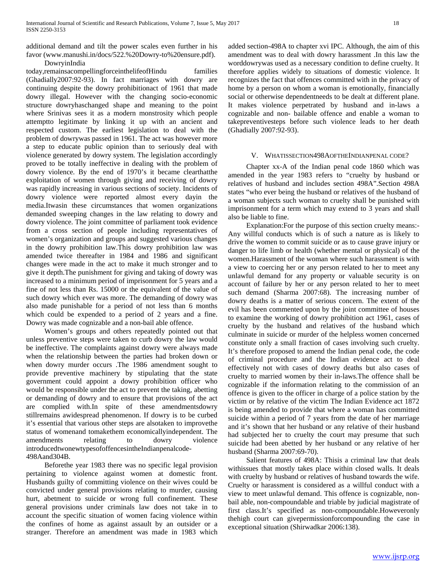additional demand and tilt the power scales even further in his favor (www.manushi.in/docs/522.%20Dowry-to%20ensure.pdf).

 DowryinIndia today,remainsacompellingforceinthelifeofHindu families (Ghadially2007:92-93). In fact marriages with dowry are continuing despite the dowry prohibitionact of 1961 that made dowry illegal. However with the changing socio-economic structure dowryhaschanged shape and meaning to the point where Srinivas sees it as a modern monstrosity which people attemptto legitimate by linking it up with an ancient and respected custom. The earliest legislation to deal with the problem of dowrywas passed in 1961. The act was however more a step to educate public opinion than to seriously deal with violence generated by dowry system. The legislation accordingly proved to be totally ineffective in dealing with the problem of dowry violence. By the end of 1970's it became clearthatthe exploitation of women through giving and receiving of dowry was rapidly increasing in various sections of society. Incidents of dowry violence were reported almost every dayin the media.Itwasin these circumstances that women organizations demanded sweeping changes in the law relating to dowry and dowry violence. The joint committee of parliament took evidence from a cross section of people including representatives of women's organization and groups and suggested various changes in the dowry prohibition law.This dowry prohibition law was amended twice thereafter in 1984 and 1986 and significant changes were made in the act to make it much stronger and to give it depth.The punishment for giving and taking of dowry was increased to a minimum period of imprisonment for 5 years and a fine of not less than Rs. 15000 or the equivalent of the value of such dowry which ever was more. The demanding of dowry was also made punishable for a period of not less than 6 months which could be expended to a period of 2 years and a fine. Dowry was made cognizable and a non-bail able offence.

 Women's groups and others repeatedly pointed out that unless preventive steps were taken to curb dowry the law would be ineffective. The complaints against dowry were always made when the relationship between the parties had broken down or when dowry murder occurs .The 1986 amendment sought to provide preventive machinery by stipulating that the state government could appoint a dowry prohibition officer who would be responsible under the act to prevent the taking, abetting or demanding of dowry and to ensure that provisions of the act are complied with.In spite of these amendmentsdowry stillremains awidespread phenomenon. If dowry is to be curbed it's essential that various other steps are alsotaken to improvethe status of womenand tomakethem economicallyindependent. The amendments relating to dowry violence introducedtwonewtypesofoffencesintheIndianpenalcode-498Aand304B.

 Beforethe year 1983 there was no specific legal provision pertaining to violence against women at domestic front. Husbands guilty of committing violence on their wives could be convicted under general provisions relating to murder, causing hurt, abetment to suicide or wrong full confinement. These general provisions under criminals law does not take in to account the specific situation of women facing violence within the confines of home as against assault by an outsider or a stranger. Therefore an amendment was made in 1983 which

added section-498A to chapter xvi IPC. Although, the aim of this amendment was to deal with dowry harassment .In this law the worddowrywas used as a necessary condition to define cruelty. It therefore applies widely to situations of domestic violence. It recognizes the fact that offences committed with in the privacy of home by a person on whom a woman is emotionally, financially social or otherwise dependentneeds to be dealt at different plane. It makes violence perpetrated by husband and in-laws a cognizable and non- bailable offence and enable a woman to takepreventivesteps before such violence leads to her death (Ghadially 2007:92-93).

#### V. WHATISSECTION498AOFTHEINDIANPENAL CODE?

 Chapter xx-A of the Indian penal code 1860 which was amended in the year 1983 refers to "cruelty by husband or relatives of husband and includes section 498A".Section 498A states "who ever being the husband or relatives of the husband of a woman subjects such woman to cruelty shall be punished with imprisonment for a term which may extend to 3 years and shall also be liable to fine.

 Explanation:For the purpose of this section cruelty means:- Any willful conducts which is of such a nature as is likely to drive the women to commit suicide or as to cause grave injury or danger to life limb or health (whether mental or physical) of the women.Harassment of the woman where such harassment is with a view to coercing her or any person related to her to meet any unlawful demand for any property or valuable security is on account of failure by her or any person related to her to meet such demand (Sharma 2007:68). The increasing number of dowry deaths is a matter of serious concern. The extent of the evil has been commented upon by the joint committee of houses to examine the working of dowry prohibition act 1961, cases of cruelty by the husband and relatives of the husband which culminate in suicide or murder of the helpless women concerned constitute only a small fraction of cases involving such cruelty. It's therefore proposed to amend the Indian penal code, the code of criminal procedure and the Indian evidence act to deal effectively not with cases of dowry deaths but also cases of cruelty to married women by their in-laws.The offence shall be cognizable if the information relating to the commission of an offence is given to the officer in charge of a police station by the victim or by relative of the victim The Indian Evidence act 1872 is being amended to provide that where a woman has committed suicide within a period of 7 years from the date of her marriage and it's shown that her husband or any relative of their husband had subjected her to cruelty the court may presume that such suicide had been abetted by her husband or any relative of her husband (Sharma 2007:69-70).

 Salient features of 498A: Thisis a criminal law that deals withissues that mostly takes place within closed walls. It deals with cruelty by husband or relatives of husband towards the wife. Cruelty or harassment is considered as a willful conduct with a view to meet unlawful demand. This offence is cognizable, nonbail able, non-compoundable and triable by judicial magistrate of first class.It's specified as non-compoundable.Howeveronly thehigh court can givepermissionforcompounding the case in exceptional situation (Shirwadkar 2006:138).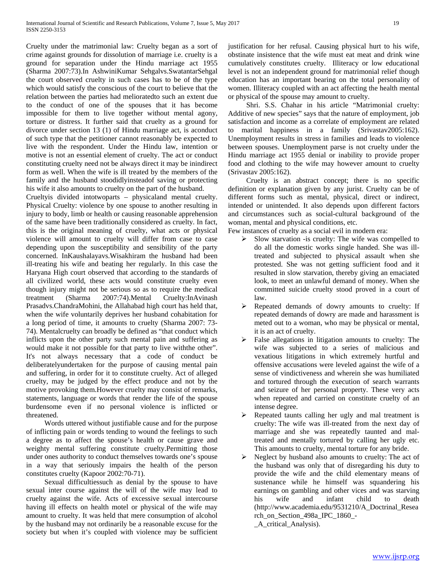Cruelty under the matrimonial law: Cruelty began as a sort of crime against grounds for dissolution of marriage i.e. cruelty is a ground for separation under the Hindu marriage act 1955 (Sharma 2007:73).In AshwiniKumar Sehgalvs.SwatantarSehgal the court observed cruelty in such cases has to be of the type which would satisfy the conscious of the court to believe that the relation between the parties had melioratedto such an extent due to the conduct of one of the spouses that it has become impossible for them to live together without mental agony, torture or distress. It further said that cruelty as a ground for divorce under section 13 (1) of Hindu marriage act, is aconduct of such type that the petitioner cannot reasonably be expected to live with the respondent. Under the Hindu law, intention or motive is not an essential element of cruelty. The act or conduct constituting cruelty need not be always direct it may be inindirect form as well. When the wife is ill treated by the members of the family and the husband stoodidlyinsteadof saving or protecting his wife it also amounts to cruelty on the part of the husband.

Crueltyis divided intotwoparts – physicaland mental cruelty. Physical Cruelty: violence by one spouse to another resulting in injury to body, limb or health or causing reasonable apprehension of the same have been traditionally considered as cruelty. In fact, this is the original meaning of cruelty, what acts or physical violence will amount to cruelty will differ from case to case depending upon the susceptibility and sensibility of the party concerned. InKaushalayavs.Wisakhiram the husband had been ill-treating his wife and beating her regularly. In this case the Haryana High court observed that according to the standards of all civilized world, these acts would constitute cruelty even though injury might not be serious so as to require the medical treatment (Sharma 2007:74).Mental Cruelty:InAvinash Prasadvs.ChandraMohini, the Allahabad high court has held that, when the wife voluntarily deprives her husband cohabitation for a long period of time, it amounts to cruelty (Sharma 2007: 73- 74). Mentalcruelty can broadly be defined as "that conduct which inflicts upon the other party such mental pain and suffering as would make it not possible for that party to live withthe other". It's not always necessary that a code of conduct be deliberatelyundertaken for the purpose of causing mental pain and suffering, in order for it to constitute cruelty. Act of alleged cruelty, may be judged by the effect produce and not by the motive provoking them.However cruelty may consist of remarks, statements, language or words that render the life of the spouse burdensome even if no personal violence is inflicted or threatened.

 Words uttered without justifiable cause and for the purpose of inflicting pain or words tending to wound the feelings to such a degree as to affect the spouse's health or cause grave and weighty mental suffering constitute cruelty.Permitting those under ones authority to conduct themselves towards one's spouse in a way that seriously impairs the health of the person constitutes cruelty (Kapoor 2002:70-71).

 Sexual difficultiessuch as denial by the spouse to have sexual inter course against the will of the wife may lead to cruelty against the wife. Acts of excessive sexual intercourse having ill effects on health motel or physical of the wife may amount to cruelty. It was held that mere consumption of alcohol by the husband may not ordinarily be a reasonable excuse for the society but when it's coupled with violence may be sufficient

justification for her refusal. Causing physical hurt to his wife, obstinate insistence that the wife must eat meat and drink wine cumulatively constitutes cruelty. Illiteracy or low educational level is not an independent ground for matrimonial relief though education has an important bearing on the total personality of women. Illiteracy coupled with an act affecting the health mental or physical of the spouse may amount to cruelty.

 Shri. S.S. Chahar in his article "Matrimonial cruelty: Additive of new species" says that the nature of employment, job satisfaction and income as a correlate of employment are related to marital happiness in a family (Srivastav2005:162). Unemployment results in stress in families and leads to violence between spouses. Unemployment parse is not cruelty under the Hindu marriage act 1955 denial or inability to provide proper food and clothing to the wife may however amount to cruelty (Srivastav 2005:162).

 Cruelty is an abstract concept; there is no specific definition or explanation given by any jurist. Cruelty can be of different forms such as mental, physical, direct or indirect, intended or unintended. It also depends upon different factors and circumstances such as social-cultural background of the woman, mental and physical conditions, etc.

Few instances of cruelty as a social evil in modern era:

- $\triangleright$  Slow starvation -is cruelty: The wife was compelled to do all the domestic works single handed. She was illtreated and subjected to physical assault when she protested. She was not getting sufficient food and it resulted in slow starvation, thereby giving an emaciated look, to meet an unlawful demand of money. When she committed suicide cruelty stood proved in a court of law.
- Repeated demands of dowry amounts to cruelty: If repeated demands of dowry are made and harassment is meted out to a woman, who may be physical or mental, it is an act of cruelty.
- $\triangleright$  False allegations in litigation amounts to cruelty: The wife was subjected to a series of malicious and vexatious litigations in which extremely hurtful and offensive accusations were leveled against the wife of a sense of vindictiveness and wherein she was humiliated and tortured through the execution of search warrants and seizure of her personal property. These very acts when repeated and carried on constitute cruelty of an intense degree.
- $\triangleright$  Repeated taunts calling her ugly and mal treatment is cruelty: The wife was ill-treated from the next day of marriage and she was repeatedly taunted and maltreated and mentally tortured by calling her ugly etc. This amounts to cruelty, mental torture for any bride.
- $\triangleright$  Neglect by husband also amounts to cruelty: The act of the husband was only that of disregarding his duty to provide the wife and the child elementary means of sustenance while he himself was squandering his earnings on gambling and other vices and was starving his wife and infant child to death (http://www.academia.edu/9531210/A\_Doctrinal\_Resea rch\_on\_Section\_498a\_IPC\_1860\_- \_A\_critical\_Analysis).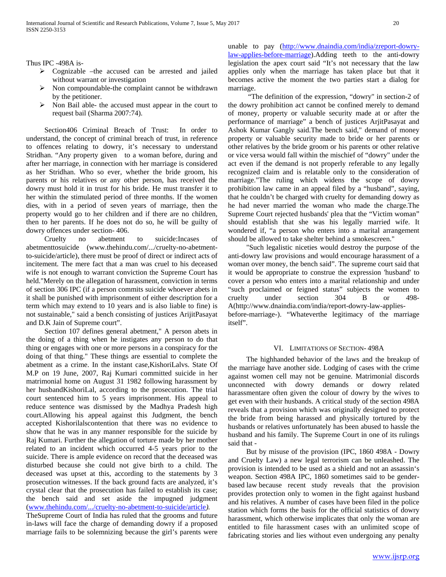Thus IPC -498A is-

- Cognizable –the accused can be arrested and jailed without warrant or investigation
- Non compoundable-the complaint cannot be withdrawn by the petitioner.
- $\triangleright$  Non Bail able- the accused must appear in the court to request bail (Sharma 2007:74).

 Section406 Criminal Breach of Trust: In order to understand, the concept of criminal breach of trust, in reference to offences relating to dowry, it's necessary to understand Stridhan. "Any property given to a woman before, during and after her marriage, in connection with her marriage is considered as her Stridhan. Who so ever, whether the bride groom, his parents or his relatives or any other person, has received the dowry must hold it in trust for his bride. He must transfer it to her within the stimulated period of three months. If the women dies, with in a period of seven years of marriage, then the property would go to her children and if there are no children, then to her parents. If he does not do so, he will be guilty of dowry offences under section- 406.

 Cruelty no abetment to suicide:Incases of abetmenttosuicide (www.thehindu.com/.../cruelty-no-abetmentto-suicide/article), there must be proof of direct or indirect acts of incitement. The mere fact that a man was cruel to his deceased wife is not enough to warrant conviction the Supreme Court has held."Merely on the allegation of harassment, conviction in terms of section 306 IPC (if a person commits suicide whoever abets in it shall be punished with imprisonment of either description for a term which may extend to 10 years and is also liable to fine) is not sustainable," said a bench consisting of justices ArijitPasayat and D.K Jain of Supreme court".

 Section 107 defines general abetment," A person abets in the doing of a thing when he instigates any person to do that thing or engages with one or more persons in a conspiracy for the doing of that thing." These things are essential to complete the abetment as a crime. In the instant case,KishoriLalvs. State Of M.P on 19 June, 2007, Raj Kumari committed suicide in her matrimonial home on August 31 1982 following harassment by her husbandKishoriLal, according to the prosecution. The trial court sentenced him to 5 years imprisonment. His appeal to reduce sentence was dismissed by the Madhya Pradesh high court.Allowing his appeal against this Judgment, the bench accepted Kishorilalscontention that there was no evidence to show that he was in any manner responsible for the suicide by Raj Kumari. Further the allegation of torture made by her mother related to an incident which occurred 4-5 years prior to the suicide. There is ample evidence on record that the deceased was disturbed because she could not give birth to a child. The deceased was upset at this, according to the statements by 3 prosecution witnesses. If the back ground facts are analyzed, it's crystal clear that the prosecution has failed to establish its case; the bench said and set aside the impugned judgment [\(www.thehindu.com/.../cruelty-no-abetment-to-suicide/article](http://www.thehindu.com/.../cruelty-no-abetment-to-suicide/article)*).* 

TheSupreme Court of India has ruled that the grooms and future in-laws will face the charge of demanding dowry if a proposed marriage fails to be solemnizing because the girl's parents were unable to pay [\(http://www.dnaindia.com/india/zreport-dowry](http://www.dnaindia.com/india/report-dowry-law-applies-before-marriage)[law-applies-before-marriage\)](http://www.dnaindia.com/india/report-dowry-law-applies-before-marriage).Adding teeth to the anti-dowry legislation the apex court said "It's not necessary that the law applies only when the marriage has taken place but that it becomes active the moment the two parties start a dialog for marriage.

 "The definition of the expression, "dowry" in section-2 of the dowry prohibition act cannot be confined merely to demand of money, property or valuable security made at or after the performance of marriage" a bench of justices ArjitPasayat and Ashok Kumar Gangly said.The bench said," demand of money property or valuable security made to bride or her parents or other relatives by the bride groom or his parents or other relative or vice versa would fall within the mischief of "dowry" under the act even if the demand is not properly referable to any legally recognized claim and is relatable only to the consideration of marriage."The ruling which widens the scope of dowry prohibition law came in an appeal filed by a "husband", saying, that he couldn't be charged with cruelty for demanding dowry as he had never married the woman who made the charge.The Supreme Court rejected husbands' plea that the "Victim woman" should establish that she was his legally married wife. It wondered if, "a person who enters into a marital arrangement should be allowed to take shelter behind a smokescreen."

 "Such legalistic niceties would destroy the purpose of the anti-dowry law provisions and would encourage harassment of a woman over money, the bench said". The supreme court said that it would be appropriate to construe the expression 'husband' to cover a person who enters into a marital relationship and under "such proclaimed or feigned status" subjects the women to cruelty under section 304 B or 498- A(http://www.dnaindia.com/india/report-dowry-law-appliesbefore-marriage-). "Whateverthe legitimacy of the marriage itself".

#### VI. LIMITATIONS OF SECTION- 498A

 The highhanded behavior of the laws and the breakup of the marriage have another side. Lodging of cases with the crime against women cell may not be genuine. Matrimonial discords unconnected with dowry demands or dowry related harassmentare often given the colour of dowry by the wives to get even with their husbands. A critical study of the section 498A reveals that a provision which was originally designed to protect the bride from being harassed and physically tortured by the husbands or relatives unfortunately has been abused to hassle the husband and his family. The Supreme Court in one of its rulings said that -

 But by misuse of the provision (IPC, 1860 498A - Dowry and Cruelty Law) a new legal terrorism can be unleashed. The provision is intended to be used as a shield and not an assassin's weapon. Section 498A IPC, 1860 sometimes said to be genderbased law because recent study reveals that the provision provides protection only to women in the fight against husband and his relatives. A number of cases have been filed in the police station which forms the basis for the official statistics of dowry harassment, which otherwise implicates that only the woman are entitled to file harassment cases with an unlimited scope of fabricating stories and lies without even undergoing any penalty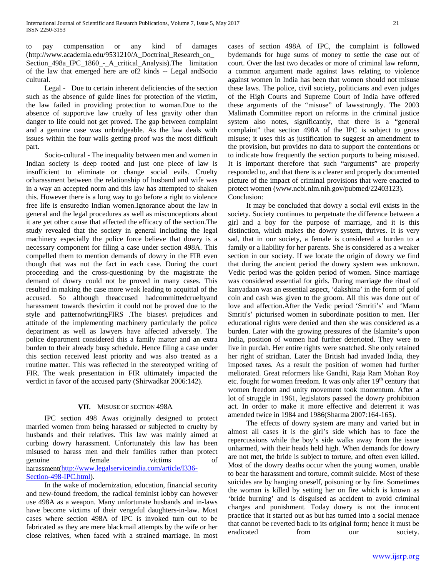to pay compensation or any kind of damages (http://www.academia.edu/9531210/A\_Doctrinal\_Research\_on\_ Section\_498a\_IPC\_1860\_-\_A\_critical\_Analysis).The limitation of the law that emerged here are of2 kinds -- Legal andSocio cultural.

 Legal - Due to certain inherent deficiencies of the section such as the absence of guide lines for protection of the victim, the law failed in providing protection to woman.Due to the absence of supportive law cruelty of less gravity other than danger to life could not get proved. The gap between complaint and a genuine case was unbridgeable. As the law deals with issues within the four walls getting proof was the most difficult part.

 Socio-cultural - The inequality between men and women in Indian society is deep rooted and just one piece of law is insufficient to eliminate or change social evils. Cruelty orharassment between the relationship of husband and wife was in a way an accepted norm and this law has attempted to shaken this. However there is a long way to go before a right to violence free life is ensuredto Indian women.Ignorance about the law in general and the legal procedures as well as misconceptions about it are yet other cause that affected the efficacy of the section.The study revealed that the society in general including the legal machinery especially the police force believe that dowry is a necessary component for filing a case under section 498A. This compelled them to mention demands of dowry in the FIR even though that was not the fact in each case. During the court proceeding and the cross-questioning by the magistrate the demand of dowry could not be proved in many cases. This resulted in making the case more weak leading to acquittal of the accused. So although theaccused hadcommittedcrueltyand harassment towards thevictim it could not be proved due to the style and patternofwritingFIRS .The biases\ prejudices and attitude of the implementing machinery particularly the police department as well as lawyers have affected adversely. The police department considered this a family matter and an extra burden to their already busy schedule. Hence filing a case under this section received least priority and was also treated as a routine matter. This was reflected in the stereotyped writing of FIR. The weak presentation in FIR ultimately impacted the verdict in favor of the accused party (Shirwadkar 2006:142).

## **VII.** MISUSE OF SECTION 498A

 IPC section 498 Awas originally designed to protect married women from being harassed or subjected to cruelty by husbands and their relatives. This law was mainly aimed at curbing dowry harassment. Unfortunately this law has been misused to harass men and their families rather than protect genuine female victims of harassment[\(http://www.legalserviceindia.com/article/l336-](http://www.legalserviceindia.com/article/l336-Section-498-IPC.html) [Section-498-IPC.html\)](http://www.legalserviceindia.com/article/l336-Section-498-IPC.html).

 In the wake of modernization, education, financial security and new-found freedom, the radical feminist lobby can however use 498A as a weapon. Many unfortunate husbands and in-laws have become victims of their vengeful daughters-in-law. Most cases where section 498A of IPC is invoked turn out to be fabricated as they are mere blackmail attempts by the wife or her close relatives, when faced with a strained marriage. In most

cases of section 498A of IPC, the complaint is followed bydemands for huge sums of money to settle the case out of court. Over the last two decades or more of criminal law reform, a common argument made against laws relating to violence against women in India has been that women should not misuse these laws. The police, civil society, politicians and even judges of the High Courts and Supreme Court of India have offered these arguments of the "misuse" of lawsstrongly. The 2003 Malimath Committee report on reforms in the criminal justice system also notes, significantly, that there is a "general complaint" that section 498A of the IPC is subject to gross misuse; it uses this as justification to suggest an amendment to the provision, but provides no data to support the contentions or to indicate how frequently the section purports to being misused. It is important therefore that such "arguments" are properly responded to, and that there is a clearer and properly documented picture of the impact of criminal provisions that were enacted to protect women (www.ncbi.nlm.nih.gov/pubmed/22403123)*.* Conclusion:

 It may be concluded that dowry a social evil exists in the society. Society continues to perpetuate the difference between a girl and a boy for the purpose of marriage, and it is this distinction, which makes the dowry system, thrives. It is very sad, that in our society, a female is considered a burden to a family or a liability for her parents. She is considered as a weaker section in our society. If we locate the origin of dowry we find that during the ancient period the dowry system was unknown. Vedic period was the golden period of women. Since marriage was considered essential for girls. During marriage the ritual of kanyadaan was an essential aspect, 'dakshina' in the form of gold coin and cash was given to the groom. All this was done out of love and affection.After the Vedic period 'Smriti's' and 'Manu Smriti's' picturised women in subordinate position to men. Her educational rights were denied and then she was considered as a burden. Later with the growing pressures of the Islamite's upon India, position of women had further deterioted. They were to live in purdah. Her entire rights were snatched. She only retained her right of stridhan. Later the British had invaded India, they imposed taxes. As a result the position of women had further meliorated. Great reformers like Gandhi, Raja Ram Mohan Roy etc. fought for women freedom. It was only after  $19<sup>th</sup>$  century that women freedom and unity movement took momentum. After a lot of struggle in 1961, legislators passed the dowry prohibition act. In order to make it more effective and deterrent it was amended twice in 1984 and 1986(Sharma 2007:164-165).

 The effects of dowry system are many and varied but in almost all cases it is the girl's side which has to face the repercussions while the boy's side walks away from the issue unharmed, with their heads held high. When demands for dowry are not met, the bride is subject to torture, and often even killed. Most of the dowry deaths occur when the young women, unable to bear the harassment and torture, commit suicide. Most of these suicides are by hanging oneself, poisoning or by fire. Sometimes the woman is killed by setting her on fire which is known as 'bride burning' and is disguised as accident to avoid criminal charges and punishment. Today dowry is not the innocent practice that it started out as but has turned into a social menace that cannot be reverted back to its original form; hence it must be eradicated from our society.